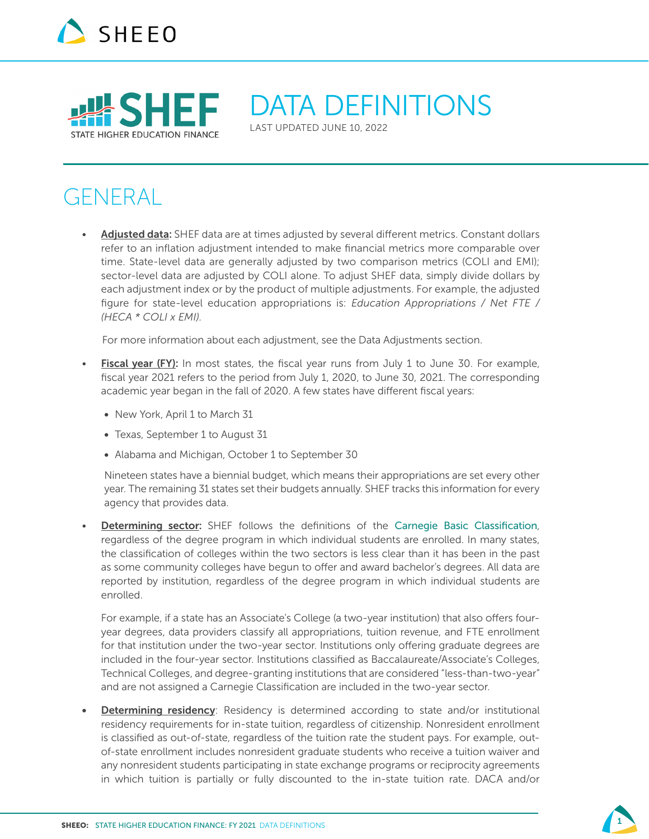



DATA DEFINITIONS

LAST UPDATED JUNE 10, 2022

# GENERAL

Adjusted data: SHEF data are at times adjusted by several different metrics. Constant dollars refer to an inflation adjustment intended to make financial metrics more comparable over time. State-level data are generally adjusted by two comparison metrics (COLI and EMI); sector-level data are adjusted by COLI alone. To adjust SHEF data, simply divide dollars by each adjustment index or by the product of multiple adjustments. For example, the adjusted figure for state-level education appropriations is: *Education Appropriations / Net FTE / (HECA \* COLI x EMI)*.

For more information about each adjustment, see the Data Adjustments section.

- Fiscal year (FY): In most states, the fiscal year runs from July 1 to June 30. For example, fiscal year 2021 refers to the period from July 1, 2020, to June 30, 2021. The corresponding academic year began in the fall of 2020. A few states have different fiscal years:
	- New York, April 1 to March 31
	- Texas, September 1 to August 31
	- Alabama and Michigan, October 1 to September 30

Nineteen states have a biennial budget, which means their appropriations are set every other year. The remaining 31 states set their budgets annually. SHEF tracks this information for every agency that provides data.

**Determining sector:** SHEF follows the definitions of the [Carnegie Basic Classification](https://carnegieclassifications.acenet.edu/), regardless of the degree program in which individual students are enrolled. In many states, the classification of colleges within the two sectors is less clear than it has been in the past as some community colleges have begun to offer and award bachelor's degrees. All data are reported by institution, regardless of the degree program in which individual students are enrolled.

For example, if a state has an Associate's College (a two-year institution) that also offers fouryear degrees, data providers classify all appropriations, tuition revenue, and FTE enrollment for that institution under the two-year sector. Institutions only offering graduate degrees are included in the four-year sector. Institutions classified as Baccalaureate/Associate's Colleges, Technical Colleges, and degree-granting institutions that are considered "less-than-two-year" and are not assigned a Carnegie Classification are included in the two-year sector.

• Determining residency: Residency is determined according to state and/or institutional residency requirements for in-state tuition, regardless of citizenship. Nonresident enrollment is classified as out-of-state, regardless of the tuition rate the student pays. For example, outof-state enrollment includes nonresident graduate students who receive a tuition waiver and any nonresident students participating in state exchange programs or reciprocity agreements in which tuition is partially or fully discounted to the in-state tuition rate. DACA and/or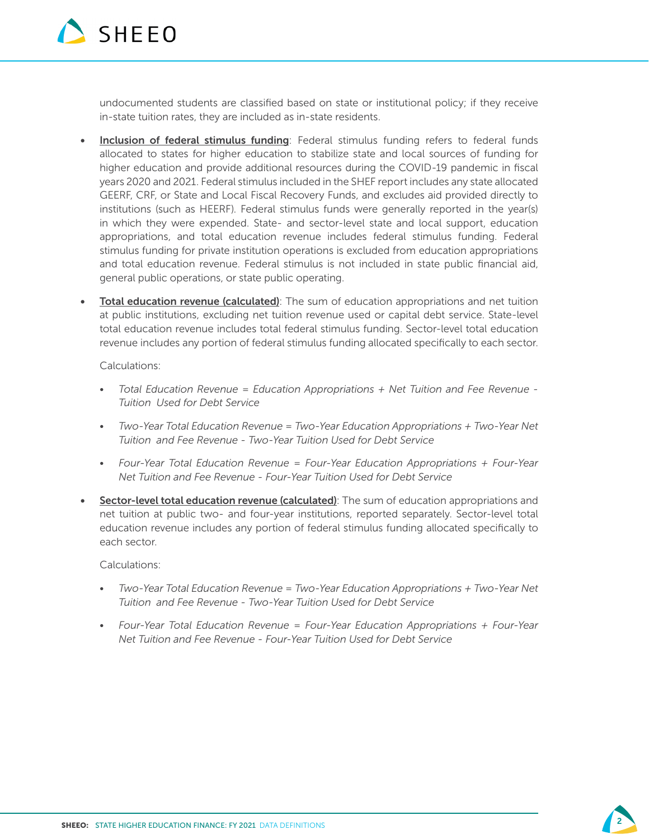

undocumented students are classified based on state or institutional policy; if they receive in-state tuition rates, they are included as in-state residents.

- Inclusion of federal stimulus funding: Federal stimulus funding refers to federal funds allocated to states for higher education to stabilize state and local sources of funding for higher education and provide additional resources during the COVID-19 pandemic in fiscal years 2020 and 2021. Federal stimulus included in the SHEF report includes any state allocated GEERF, CRF, or State and Local Fiscal Recovery Funds, and excludes aid provided directly to institutions (such as HEERF). Federal stimulus funds were generally reported in the year(s) in which they were expended. State- and sector-level state and local support, education appropriations, and total education revenue includes federal stimulus funding. Federal stimulus funding for private institution operations is excluded from education appropriations and total education revenue. Federal stimulus is not included in state public financial aid, general public operations, or state public operating.
- **Total education revenue (calculated)**: The sum of education appropriations and net tuition at public institutions, excluding net tuition revenue used or capital debt service. State-level total education revenue includes total federal stimulus funding. Sector-level total education revenue includes any portion of federal stimulus funding allocated specifically to each sector.

Calculations:

- *• Total Education Revenue = Education Appropriations + Net Tuition and Fee Revenue Tuition Used for Debt Service*
- *• Two-Year Total Education Revenue = Two-Year Education Appropriations + Two-Year Net Tuition and Fee Revenue - Two-Year Tuition Used for Debt Service*
- *• Four-Year Total Education Revenue = Four-Year Education Appropriations + Four-Year Net Tuition and Fee Revenue - Four-Year Tuition Used for Debt Service*
- Sector-level total education revenue (calculated): The sum of education appropriations and net tuition at public two- and four-year institutions, reported separately. Sector-level total education revenue includes any portion of federal stimulus funding allocated specifically to each sector.

Calculations:

- *• Two-Year Total Education Revenue = Two-Year Education Appropriations + Two-Year Net Tuition and Fee Revenue - Two-Year Tuition Used for Debt Service*
- *• Four-Year Total Education Revenue = Four-Year Education Appropriations + Four-Year Net Tuition and Fee Revenue - Four-Year Tuition Used for Debt Service*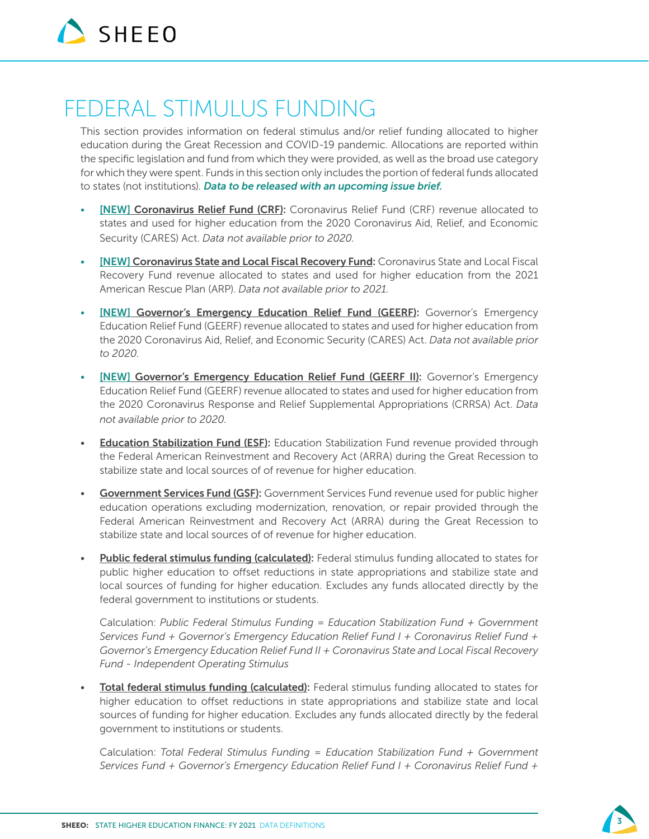

# FEDERAL STIMULUS FUNDING

This section provides information on federal stimulus and/or relief funding allocated to higher education during the Great Recession and COVID-19 pandemic. Allocations are reported within the specific legislation and fund from which they were provided, as well as the broad use category for which they were spent. Funds in this section only includes the portion of federal funds allocated to states (not institutions). *Data to be released with an upcoming issue brief.*

- [NEW] Coronavirus Relief Fund (CRF): Coronavirus Relief Fund (CRF) revenue allocated to states and used for higher education from the 2020 Coronavirus Aid, Relief, and Economic Security (CARES) Act. *Data not available prior to 2020.*
- **[NEW] Coronavirus State and Local Fiscal Recovery Fund:** Coronavirus State and Local Fiscal Recovery Fund revenue allocated to states and used for higher education from the 2021 American Rescue Plan (ARP). *Data not available prior to 2021.*
- **[NEW] Governor's Emergency Education Relief Fund (GEERF):** Governor's Emergency Education Relief Fund (GEERF) revenue allocated to states and used for higher education from the 2020 Coronavirus Aid, Relief, and Economic Security (CARES) Act. *Data not available prior to 2020.*
- [NEW] Governor's Emergency Education Relief Fund (GEERF II): Governor's Emergency Education Relief Fund (GEERF) revenue allocated to states and used for higher education from the 2020 Coronavirus Response and Relief Supplemental Appropriations (CRRSA) Act. *Data not available prior to 2020.*
- Education Stabilization Fund (ESF): Education Stabilization Fund revenue provided through the Federal American Reinvestment and Recovery Act (ARRA) during the Great Recession to stabilize state and local sources of of revenue for higher education.
- Government Services Fund (GSF): Government Services Fund revenue used for public higher education operations excluding modernization, renovation, or repair provided through the Federal American Reinvestment and Recovery Act (ARRA) during the Great Recession to stabilize state and local sources of of revenue for higher education.
- Public federal stimulus funding (calculated): Federal stimulus funding allocated to states for public higher education to offset reductions in state appropriations and stabilize state and local sources of funding for higher education. Excludes any funds allocated directly by the federal government to institutions or students.

Calculation: *Public Federal Stimulus Funding = Education Stabilization Fund + Government Services Fund + Governor's Emergency Education Relief Fund I + Coronavirus Relief Fund + Governor's Emergency Education Relief Fund II + Coronavirus State and Local Fiscal Recovery Fund - Independent Operating Stimulus*

Total federal stimulus funding (calculated): Federal stimulus funding allocated to states for higher education to offset reductions in state appropriations and stabilize state and local sources of funding for higher education. Excludes any funds allocated directly by the federal government to institutions or students.

Calculation: *Total Federal Stimulus Funding = Education Stabilization Fund + Government Services Fund + Governor's Emergency Education Relief Fund I + Coronavirus Relief Fund +* 

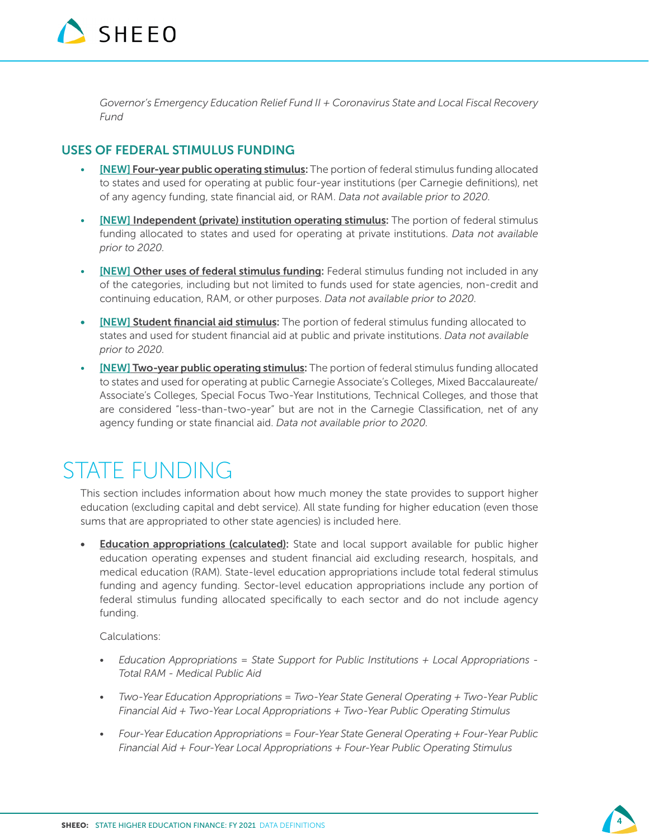

*Governor's Emergency Education Relief Fund II + Coronavirus State and Local Fiscal Recovery Fund*

### USES OF FEDERAL STIMULUS FUNDING

- **[NEW] Four-year public operating stimulus:** The portion of federal stimulus funding allocated to states and used for operating at public four-year institutions (per Carnegie definitions), net of any agency funding, state financial aid, or RAM. *Data not available prior to 2020.*
- **[NEW] Independent (private) institution operating stimulus:** The portion of federal stimulus funding allocated to states and used for operating at private institutions. *Data not available prior to 2020.*
- **[NEW] Other uses of federal stimulus funding:** Federal stimulus funding not included in any of the categories, including but not limited to funds used for state agencies, non-credit and continuing education, RAM, or other purposes. *Data not available prior to 2020.*
- **[NEW] Student financial aid stimulus:** The portion of federal stimulus funding allocated to states and used for student financial aid at public and private institutions. *Data not available prior to 2020.*
- **[NEW] Two-year public operating stimulus:** The portion of federal stimulus funding allocated to states and used for operating at public Carnegie Associate's Colleges, Mixed Baccalaureate/ Associate's Colleges, Special Focus Two-Year Institutions, Technical Colleges, and those that are considered "less-than-two-year" but are not in the Carnegie Classification, net of any agency funding or state financial aid. *Data not available prior to 2020.*

# STATE FUNDING

This section includes information about how much money the state provides to support higher education (excluding capital and debt service). All state funding for higher education (even those sums that are appropriated to other state agencies) is included here.

• Education appropriations (calculated): State and local support available for public higher education operating expenses and student financial aid excluding research, hospitals, and medical education (RAM). State-level education appropriations include total federal stimulus funding and agency funding. Sector-level education appropriations include any portion of federal stimulus funding allocated specifically to each sector and do not include agency funding.

Calculations:

- *Education Appropriations = State Support for Public Institutions + Local Appropriations Total RAM - Medical Public Aid*
- *• Two-Year Education Appropriations = Two-Year State General Operating + Two-Year Public Financial Aid + Two-Year Local Appropriations + Two-Year Public Operating Stimulus*
- *• Four-Year Education Appropriations = Four-Year State General Operating + Four-Year Public Financial Aid + Four-Year Local Appropriations + Four-Year Public Operating Stimulus*

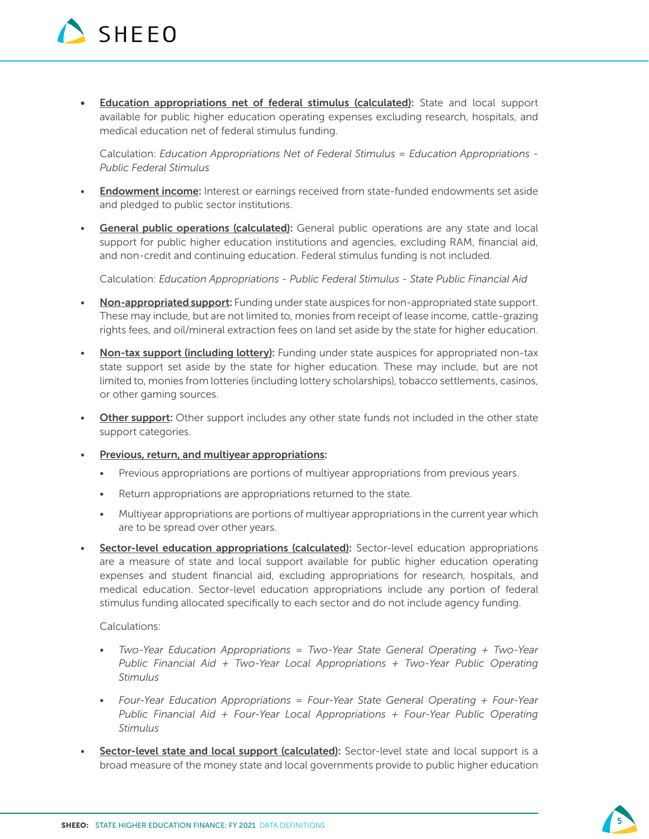

• Education appropriations net of federal stimulus (calculated): State and local support available for public higher education operating expenses excluding research, hospitals, and medical education net of federal stimulus funding.

Calculation: *Education Appropriations Net of Federal Stimulus = Education Appropriations - Public Federal Stimulus*

- **Endowment income:** Interest or earnings received from state-funded endowments set aside and pledged to public sector institutions.
- General public operations (calculated): General public operations are any state and local support for public higher education institutions and agencies, excluding RAM, financial aid, and non-credit and continuing education. Federal stimulus funding is not included.

Calculation: *Education Appropriations - Public Federal Stimulus - State Public Financial Aid*

- Non-appropriated support: Funding under state auspices for non-appropriated state support. These may include, but are not limited to, monies from receipt of lease income, cattle-grazing rights fees, and oil/mineral extraction fees on land set aside by the state for higher education.
- Non-tax support (including lottery): Funding under state auspices for appropriated non-tax state support set aside by the state for higher education. These may include, but are not limited to, monies from lotteries (including lottery scholarships), tobacco settlements, casinos, or other gaming sources.
- Other support: Other support includes any other state funds not included in the other state support categories.
- Previous, return, and multiyear appropriations:
	- Previous appropriations are portions of multiyear appropriations from previous years.
	- Return appropriations are appropriations returned to the state.
	- Multiyear appropriations are portions of multiyear appropriations in the current year which are to be spread over other years.
- Sector-level education appropriations (calculated): Sector-level education appropriations are a measure of state and local support available for public higher education operating expenses and student financial aid, excluding appropriations for research, hospitals, and medical education. Sector-level education appropriations include any portion of federal stimulus funding allocated specifically to each sector and do not include agency funding.

#### Calculations:

- *• Two-Year Education Appropriations = Two-Year State General Operating + Two-Year Public Financial Aid + Two-Year Local Appropriations + Two-Year Public Operating Stimulus*
- *• Four-Year Education Appropriations = Four-Year State General Operating + Four-Year Public Financial Aid + Four-Year Local Appropriations + Four-Year Public Operating Stimulus*
- Sector-level state and local support (calculated): Sector-level state and local support is a broad measure of the money state and local governments provide to public higher education

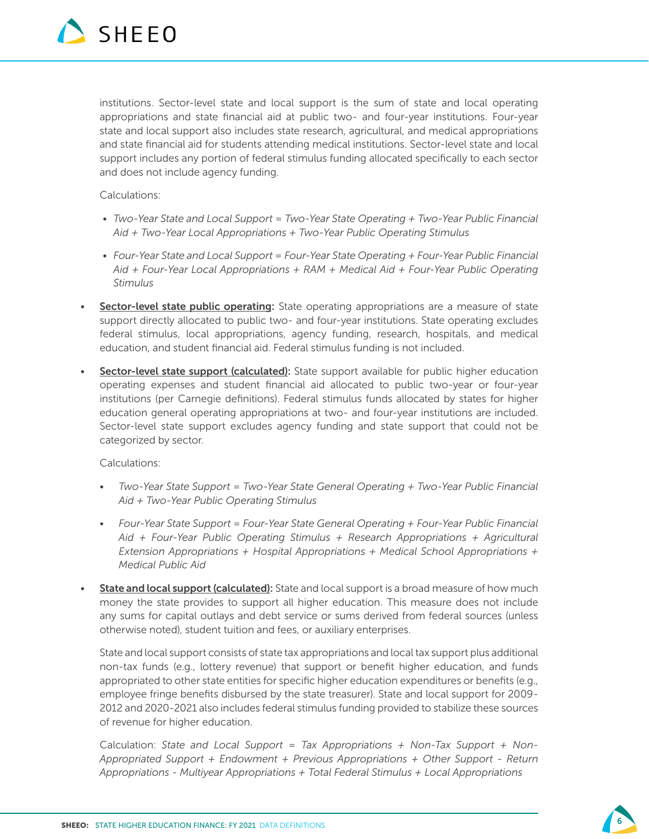

institutions. Sector-level state and local support is the sum of state and local operating appropriations and state financial aid at public two- and four-year institutions. Four-year state and local support also includes state research, agricultural, and medical appropriations and state financial aid for students attending medical institutions. Sector-level state and local support includes any portion of federal stimulus funding allocated specifically to each sector and does not include agency funding.

Calculations:

- *Two-Year State and Local Support = Two-Year State Operating + Two-Year Public Financial Aid + Two-Year Local Appropriations + Two-Year Public Operating Stimulus*
- *Four-Year State and Local Support = Four-Year State Operating + Four-Year Public Financial Aid + Four-Year Local Appropriations + RAM + Medical Aid + Four-Year Public Operating Stimulus*
- **Sector-level state public operating:** State operating appropriations are a measure of state support directly allocated to public two- and four-year institutions. State operating excludes federal stimulus, local appropriations, agency funding, research, hospitals, and medical education, and student financial aid. Federal stimulus funding is not included.
- **Sector-level state support (calculated):** State support available for public higher education operating expenses and student financial aid allocated to public two-year or four-year institutions (per Carnegie definitions). Federal stimulus funds allocated by states for higher education general operating appropriations at two- and four-year institutions are included. Sector-level state support excludes agency funding and state support that could not be categorized by sector.

Calculations:

- *• Two-Year State Support = Two-Year State General Operating + Two-Year Public Financial Aid + Two-Year Public Operating Stimulus*
- *• Four-Year State Support = Four-Year State General Operating + Four-Year Public Financial Aid + Four-Year Public Operating Stimulus + Research Appropriations + Agricultural Extension Appropriations + Hospital Appropriations + Medical School Appropriations + Medical Public Aid*
- State and local support (calculated): State and local support is a broad measure of how much money the state provides to support all higher education. This measure does not include any sums for capital outlays and debt service or sums derived from federal sources (unless otherwise noted), student tuition and fees, or auxiliary enterprises.

State and local support consists of state tax appropriations and local tax support plus additional non-tax funds (e.g., lottery revenue) that support or benefit higher education, and funds appropriated to other state entities for specific higher education expenditures or benefits (e.g., employee fringe benefits disbursed by the state treasurer). State and local support for 2009- 2012 and 2020-2021 also includes federal stimulus funding provided to stabilize these sources of revenue for higher education.

Calculation: *State and Local Support = Tax Appropriations + Non-Tax Support + Non-Appropriated Support + Endowment + Previous Appropriations + Other Support - Return Appropriations - Multiyear Appropriations + Total Federal Stimulus + Local Appropriations* 

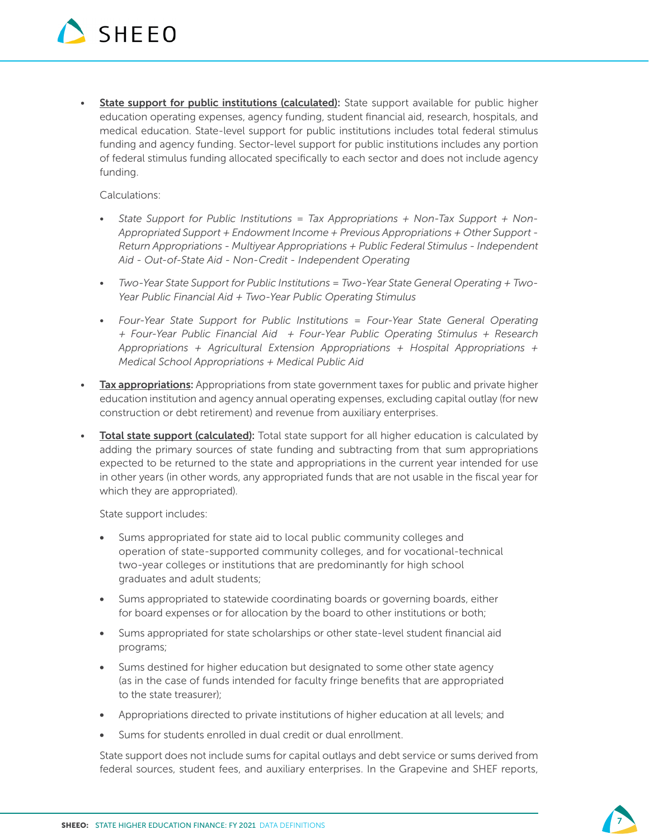

**State support for public institutions (calculated):** State support available for public higher education operating expenses, agency funding, student financial aid, research, hospitals, and medical education. State-level support for public institutions includes total federal stimulus funding and agency funding. Sector-level support for public institutions includes any portion of federal stimulus funding allocated specifically to each sector and does not include agency funding.

Calculations:

- *• State Support for Public Institutions = Tax Appropriations + Non-Tax Support + Non-Appropriated Support + Endowment Income + Previous Appropriations + Other Support - Return Appropriations - Multiyear Appropriations + Public Federal Stimulus - Independent Aid - Out-of-State Aid - Non-Credit - Independent Operating*
- *• Two-Year State Support for Public Institutions = Two-Year State General Operating + Two-Year Public Financial Aid + Two-Year Public Operating Stimulus*
- *• Four-Year State Support for Public Institutions = Four-Year State General Operating + Four-Year Public Financial Aid + Four-Year Public Operating Stimulus + Research Appropriations + Agricultural Extension Appropriations + Hospital Appropriations + Medical School Appropriations + Medical Public Aid*
- Tax appropriations: Appropriations from state government taxes for public and private higher education institution and agency annual operating expenses, excluding capital outlay (for new construction or debt retirement) and revenue from auxiliary enterprises.
- Total state support (calculated): Total state support for all higher education is calculated by adding the primary sources of state funding and subtracting from that sum appropriations expected to be returned to the state and appropriations in the current year intended for use in other years (in other words, any appropriated funds that are not usable in the fiscal year for which they are appropriated).

State support includes:

- Sums appropriated for state aid to local public community colleges and operation of state-supported community colleges, and for vocational-technical two-year colleges or institutions that are predominantly for high school graduates and adult students;
- Sums appropriated to statewide coordinating boards or governing boards, either for board expenses or for allocation by the board to other institutions or both;
- Sums appropriated for state scholarships or other state-level student financial aid programs;
- Sums destined for higher education but designated to some other state agency (as in the case of funds intended for faculty fringe benefits that are appropriated to the state treasurer);
- Appropriations directed to private institutions of higher education at all levels; and
- Sums for students enrolled in dual credit or dual enrollment.

State support does not include sums for capital outlays and debt service or sums derived from federal sources, student fees, and auxiliary enterprises. In the Grapevine and SHEF reports,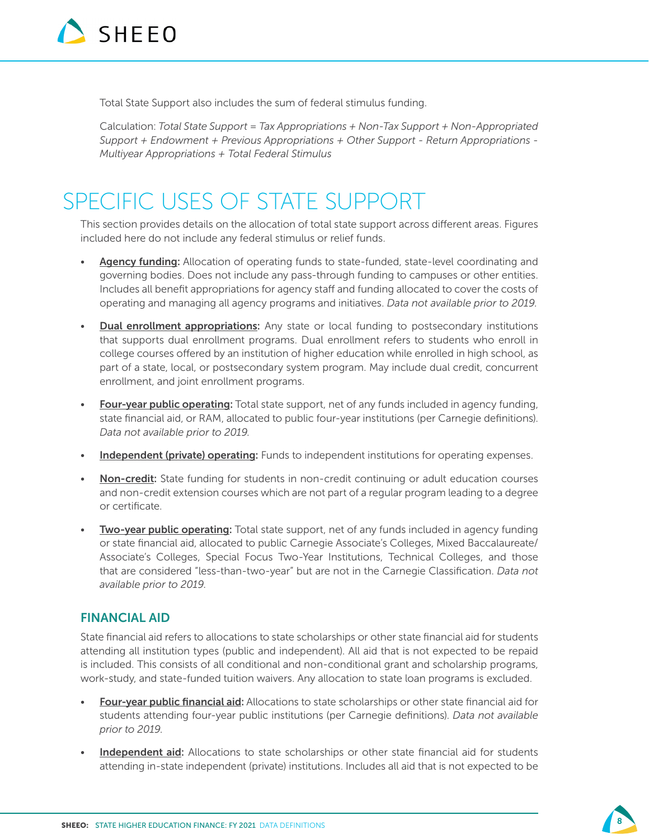

Total State Support also includes the sum of federal stimulus funding.

Calculation: *Total State Support = Tax Appropriations + Non-Tax Support + Non-Appropriated Support + Endowment + Previous Appropriations + Other Support - Return Appropriations - Multiyear Appropriations + Total Federal Stimulus*

### SPECIFIC USES OF STATE SUPPORT

This section provides details on the allocation of total state support across different areas. Figures included here do not include any federal stimulus or relief funds.

- Agency funding: Allocation of operating funds to state-funded, state-level coordinating and governing bodies. Does not include any pass-through funding to campuses or other entities. Includes all benefit appropriations for agency staff and funding allocated to cover the costs of operating and managing all agency programs and initiatives. *Data not available prior to 2019.*
- Dual enrollment appropriations: Any state or local funding to postsecondary institutions that supports dual enrollment programs. Dual enrollment refers to students who enroll in college courses offered by an institution of higher education while enrolled in high school, as part of a state, local, or postsecondary system program. May include dual credit, concurrent enrollment, and joint enrollment programs.
- Four-year public operating: Total state support, net of any funds included in agency funding, state financial aid, or RAM, allocated to public four-year institutions (per Carnegie definitions). *Data not available prior to 2019.*
- Independent (private) operating: Funds to independent institutions for operating expenses.
- Non-credit: State funding for students in non-credit continuing or adult education courses and non-credit extension courses which are not part of a regular program leading to a degree or certificate.
- **Two-year public operating:** Total state support, net of any funds included in agency funding or state financial aid, allocated to public Carnegie Associate's Colleges, Mixed Baccalaureate/ Associate's Colleges, Special Focus Two-Year Institutions, Technical Colleges, and those that are considered "less-than-two-year" but are not in the Carnegie Classification. *Data not available prior to 2019.*

#### FINANCIAL AID

State financial aid refers to allocations to state scholarships or other state financial aid for students attending all institution types (public and independent). All aid that is not expected to be repaid is included. This consists of all conditional and non-conditional grant and scholarship programs, work-study, and state-funded tuition waivers. Any allocation to state loan programs is excluded.

- Four-year public financial aid: Allocations to state scholarships or other state financial aid for students attending four-year public institutions (per Carnegie definitions). *Data not available prior to 2019.*
- Independent aid: Allocations to state scholarships or other state financial aid for students attending in-state independent (private) institutions. Includes all aid that is not expected to be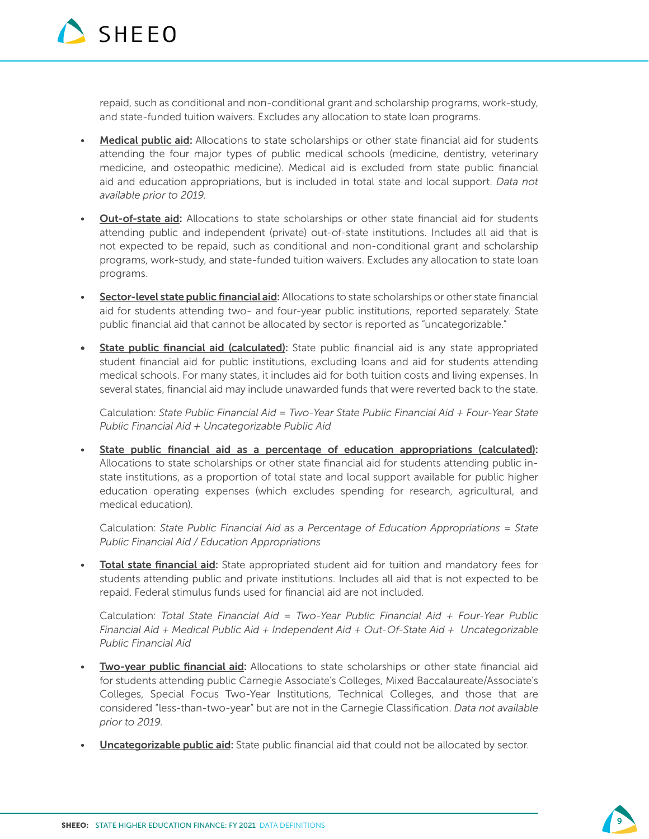

repaid, such as conditional and non-conditional grant and scholarship programs, work-study, and state-funded tuition waivers. Excludes any allocation to state loan programs.

- Medical public aid: Allocations to state scholarships or other state financial aid for students attending the four major types of public medical schools (medicine, dentistry, veterinary medicine, and osteopathic medicine). Medical aid is excluded from state public financial aid and education appropriations, but is included in total state and local support. *Data not available prior to 2019.*
- Out-of-state aid: Allocations to state scholarships or other state financial aid for students attending public and independent (private) out-of-state institutions. Includes all aid that is not expected to be repaid, such as conditional and non-conditional grant and scholarship programs, work-study, and state-funded tuition waivers. Excludes any allocation to state loan programs.
- Sector-level state public financial aid: Allocations to state scholarships or other state financial aid for students attending two- and four-year public institutions, reported separately. State public financial aid that cannot be allocated by sector is reported as "uncategorizable."
- State public financial aid (calculated): State public financial aid is any state appropriated student financial aid for public institutions, excluding loans and aid for students attending medical schools. For many states, it includes aid for both tuition costs and living expenses. In several states, financial aid may include unawarded funds that were reverted back to the state.

Calculation: *State Public Financial Aid = Two-Year State Public Financial Aid + Four-Year State Public Financial Aid + Uncategorizable Public Aid*

• State public financial aid as a percentage of education appropriations (calculated): Allocations to state scholarships or other state financial aid for students attending public instate institutions, as a proportion of total state and local support available for public higher education operating expenses (which excludes spending for research, agricultural, and medical education).

Calculation: *State Public Financial Aid as a Percentage of Education Appropriations = State Public Financial Aid / Education Appropriations*

• Total state financial aid: State appropriated student aid for tuition and mandatory fees for students attending public and private institutions. Includes all aid that is not expected to be repaid. Federal stimulus funds used for financial aid are not included.

Calculation: *Total State Financial Aid = Two-Year Public Financial Aid + Four-Year Public Financial Aid + Medical Public Aid + Independent Aid + Out-Of-State Aid + Uncategorizable Public Financial Aid*

- Two-year public financial aid: Allocations to state scholarships or other state financial aid for students attending public Carnegie Associate's Colleges, Mixed Baccalaureate/Associate's Colleges, Special Focus Two-Year Institutions, Technical Colleges, and those that are considered "less-than-two-year" but are not in the Carnegie Classification. *Data not available prior to 2019.*
- Uncategorizable public aid: State public financial aid that could not be allocated by sector.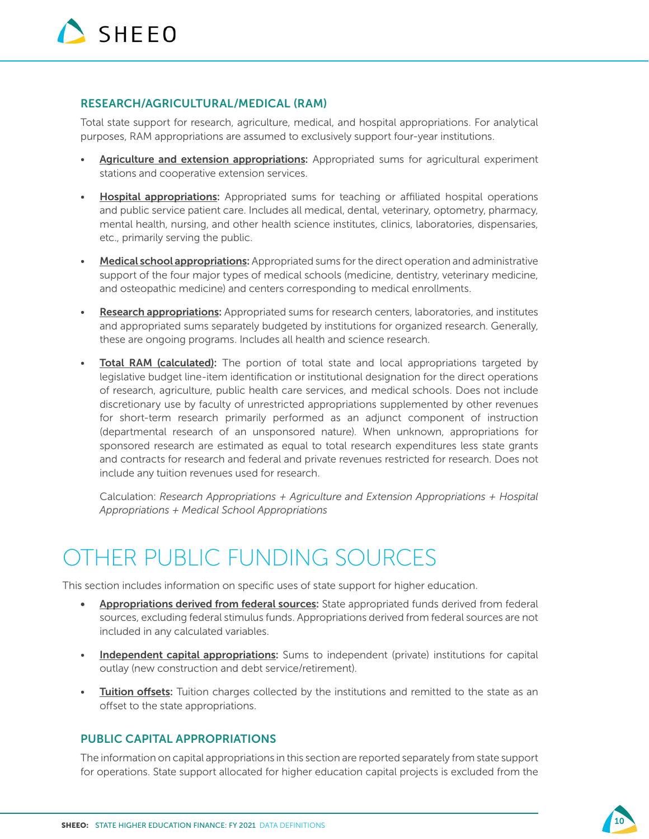### RESEARCH/AGRICULTURAL/MEDICAL (RAM)

Total state support for research, agriculture, medical, and hospital appropriations. For analytical purposes, RAM appropriations are assumed to exclusively support four-year institutions.

- Agriculture and extension appropriations: Appropriated sums for agricultural experiment stations and cooperative extension services.
- Hospital appropriations: Appropriated sums for teaching or affiliated hospital operations and public service patient care. Includes all medical, dental, veterinary, optometry, pharmacy, mental health, nursing, and other health science institutes, clinics, laboratories, dispensaries, etc., primarily serving the public.
- Medical school appropriations: Appropriated sums for the direct operation and administrative support of the four major types of medical schools (medicine, dentistry, veterinary medicine, and osteopathic medicine) and centers corresponding to medical enrollments.
- Research appropriations: Appropriated sums for research centers, laboratories, and institutes and appropriated sums separately budgeted by institutions for organized research. Generally, these are ongoing programs. Includes all health and science research.
- Total RAM (calculated): The portion of total state and local appropriations targeted by legislative budget line-item identification or institutional designation for the direct operations of research, agriculture, public health care services, and medical schools. Does not include discretionary use by faculty of unrestricted appropriations supplemented by other revenues for short-term research primarily performed as an adjunct component of instruction (departmental research of an unsponsored nature). When unknown, appropriations for sponsored research are estimated as equal to total research expenditures less state grants and contracts for research and federal and private revenues restricted for research. Does not include any tuition revenues used for research.

Calculation: *Research Appropriations + Agriculture and Extension Appropriations + Hospital Appropriations + Medical School Appropriations*

# OTHER PUBLIC FUNDING SOURCES

This section includes information on specific uses of state support for higher education.

- Appropriations derived from federal sources: State appropriated funds derived from federal sources, excluding federal stimulus funds. Appropriations derived from federal sources are not included in any calculated variables.
- Independent capital appropriations: Sums to independent (private) institutions for capital outlay (new construction and debt service/retirement).
- Tuition offsets: Tuition charges collected by the institutions and remitted to the state as an offset to the state appropriations.

#### PUBLIC CAPITAL APPROPRIATIONS

The information on capital appropriations in this section are reported separately from state support for operations. State support allocated for higher education capital projects is excluded from the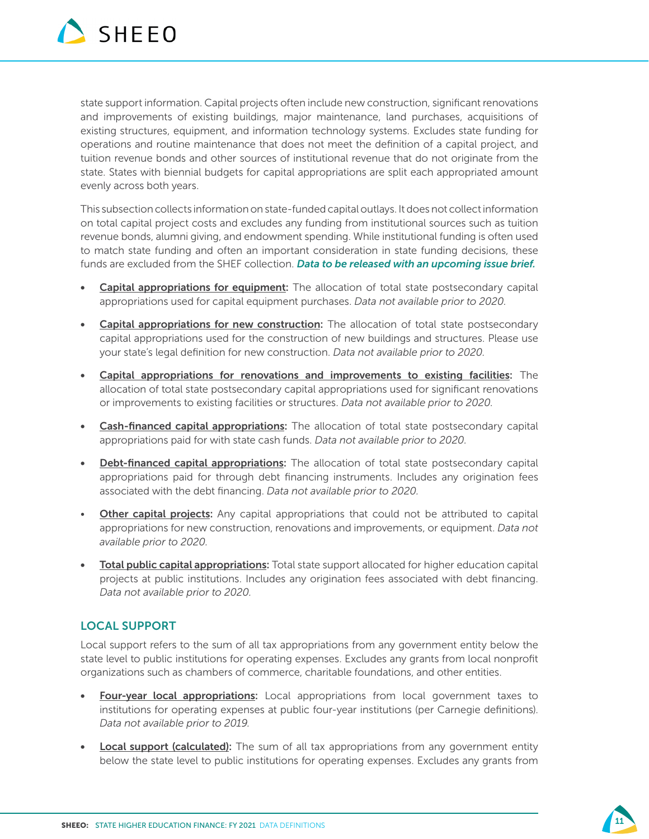

state support information. Capital projects often include new construction, significant renovations and improvements of existing buildings, major maintenance, land purchases, acquisitions of existing structures, equipment, and information technology systems. Excludes state funding for operations and routine maintenance that does not meet the definition of a capital project, and tuition revenue bonds and other sources of institutional revenue that do not originate from the state. States with biennial budgets for capital appropriations are split each appropriated amount evenly across both years.

This subsection collects information on state-funded capital outlays. It does not collect information on total capital project costs and excludes any funding from institutional sources such as tuition revenue bonds, alumni giving, and endowment spending. While institutional funding is often used to match state funding and often an important consideration in state funding decisions, these funds are excluded from the SHEF collection. *Data to be released with an upcoming issue brief.*

- Capital appropriations for equipment: The allocation of total state postsecondary capital appropriations used for capital equipment purchases. *Data not available prior to 2020.*
- Capital appropriations for new construction: The allocation of total state postsecondary capital appropriations used for the construction of new buildings and structures. Please use your state's legal definition for new construction. *Data not available prior to 2020.*
- Capital appropriations for renovations and improvements to existing facilities: The allocation of total state postsecondary capital appropriations used for significant renovations or improvements to existing facilities or structures. *Data not available prior to 2020.*
- Cash-financed capital appropriations: The allocation of total state postsecondary capital appropriations paid for with state cash funds. *Data not available prior to 2020.*
- Debt-financed capital appropriations: The allocation of total state postsecondary capital appropriations paid for through debt financing instruments. Includes any origination fees associated with the debt financing. *Data not available prior to 2020.*
- **Other capital projects:** Any capital appropriations that could not be attributed to capital appropriations for new construction, renovations and improvements, or equipment. *Data not available prior to 2020.*
- Total public capital appropriations: Total state support allocated for higher education capital projects at public institutions. Includes any origination fees associated with debt financing. *Data not available prior to 2020.*

#### LOCAL SUPPORT

Local support refers to the sum of all tax appropriations from any government entity below the state level to public institutions for operating expenses. Excludes any grants from local nonprofit organizations such as chambers of commerce, charitable foundations, and other entities.

- Four-year local appropriations: Local appropriations from local government taxes to institutions for operating expenses at public four-year institutions (per Carnegie definitions). *Data not available prior to 2019.*
- **Local support (calculated):** The sum of all tax appropriations from any government entity below the state level to public institutions for operating expenses. Excludes any grants from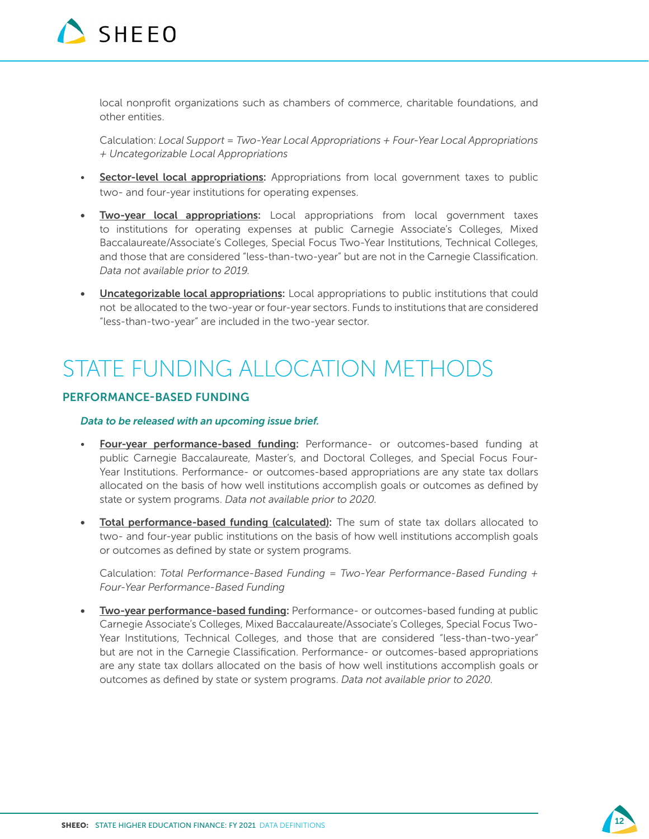

local nonprofit organizations such as chambers of commerce, charitable foundations, and other entities.

Calculation: *Local Support = Two-Year Local Appropriations + Four-Year Local Appropriations + Uncategorizable Local Appropriations*

- Sector-level local appropriations: Appropriations from local government taxes to public two- and four-year institutions for operating expenses.
- Two-year local appropriations: Local appropriations from local government taxes to institutions for operating expenses at public Carnegie Associate's Colleges, Mixed Baccalaureate/Associate's Colleges, Special Focus Two-Year Institutions, Technical Colleges, and those that are considered "less-than-two-year" but are not in the Carnegie Classification. *Data not available prior to 2019.*
- **Uncategorizable local appropriations:** Local appropriations to public institutions that could not be allocated to the two-year or four-year sectors. Funds to institutions that are considered "less-than-two-year" are included in the two-year sector.

### STATE FUNDING ALLOCATION METHODS

#### PERFORMANCE-BASED FUNDING

#### *Data to be released with an upcoming issue brief.*

- Four-year performance-based funding: Performance- or outcomes-based funding at public Carnegie Baccalaureate, Master's, and Doctoral Colleges, and Special Focus Four-Year Institutions. Performance- or outcomes-based appropriations are any state tax dollars allocated on the basis of how well institutions accomplish goals or outcomes as defined by state or system programs. *Data not available prior to 2020.*
- **Total performance-based funding (calculated):** The sum of state tax dollars allocated to two- and four-year public institutions on the basis of how well institutions accomplish goals or outcomes as defined by state or system programs.

Calculation: *Total Performance-Based Funding = Two-Year Performance-Based Funding + Four-Year Performance-Based Funding*

• Two-year performance-based funding: Performance- or outcomes-based funding at public Carnegie Associate's Colleges, Mixed Baccalaureate/Associate's Colleges, Special Focus Two-Year Institutions, Technical Colleges, and those that are considered "less-than-two-year" but are not in the Carnegie Classification. Performance- or outcomes-based appropriations are any state tax dollars allocated on the basis of how well institutions accomplish goals or outcomes as defined by state or system programs. *Data not available prior to 2020.*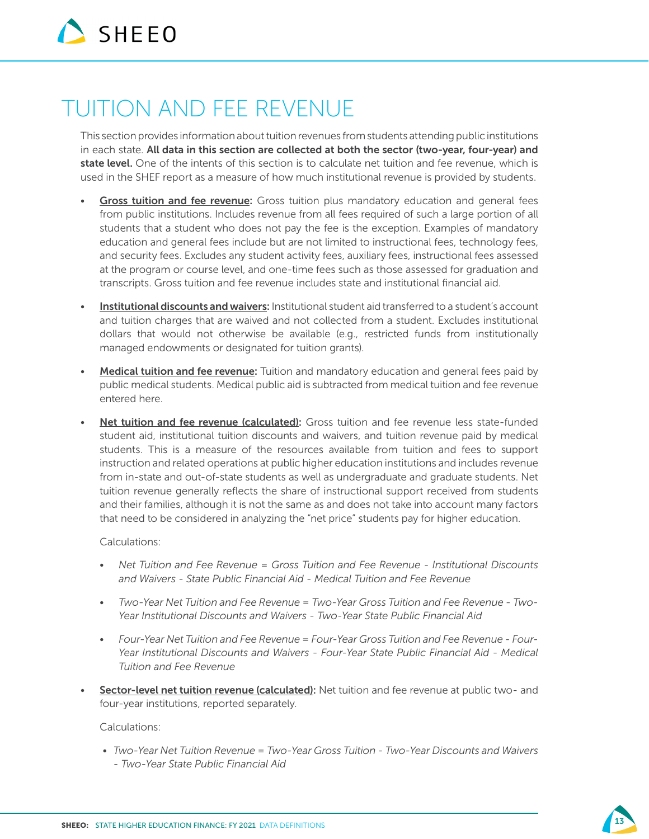

# TUITION AND FEE REVENUE

This section provides information about tuition revenues from students attending public institutions in each state. All data in this section are collected at both the sector (two-year, four-year) and state level. One of the intents of this section is to calculate net tuition and fee revenue, which is used in the SHEF report as a measure of how much institutional revenue is provided by students.

- Gross tuition and fee revenue: Gross tuition plus mandatory education and general fees from public institutions. Includes revenue from all fees required of such a large portion of all students that a student who does not pay the fee is the exception. Examples of mandatory education and general fees include but are not limited to instructional fees, technology fees, and security fees. Excludes any student activity fees, auxiliary fees, instructional fees assessed at the program or course level, and one-time fees such as those assessed for graduation and transcripts. Gross tuition and fee revenue includes state and institutional financial aid.
- Institutional discounts and waivers: Institutional student aid transferred to a student's account and tuition charges that are waived and not collected from a student. Excludes institutional dollars that would not otherwise be available (e.g., restricted funds from institutionally managed endowments or designated for tuition grants).
- Medical tuition and fee revenue: Tuition and mandatory education and general fees paid by public medical students. Medical public aid is subtracted from medical tuition and fee revenue entered here.
- Net tuition and fee revenue (calculated): Gross tuition and fee revenue less state-funded student aid, institutional tuition discounts and waivers, and tuition revenue paid by medical students. This is a measure of the resources available from tuition and fees to support instruction and related operations at public higher education institutions and includes revenue from in-state and out-of-state students as well as undergraduate and graduate students. Net tuition revenue generally reflects the share of instructional support received from students and their families, although it is not the same as and does not take into account many factors that need to be considered in analyzing the "net price" students pay for higher education.

#### Calculations:

- *Net Tuition and Fee Revenue = Gross Tuition and Fee Revenue Institutional Discounts and Waivers - State Public Financial Aid - Medical Tuition and Fee Revenue*
- *Two-Year Net Tuition and Fee Revenue = Two-Year Gross Tuition and Fee Revenue Two-Year Institutional Discounts and Waivers - Two-Year State Public Financial Aid*
- *Four-Year Net Tuition and Fee Revenue = Four-Year Gross Tuition and Fee Revenue Four-Year Institutional Discounts and Waivers - Four-Year State Public Financial Aid - Medical Tuition and Fee Revenue*
- Sector-level net tuition revenue (calculated): Net tuition and fee revenue at public two- and four-year institutions, reported separately.

Calculations:

*• Two-Year Net Tuition Revenue = Two-Year Gross Tuition - Two-Year Discounts and Waivers - Two-Year State Public Financial Aid*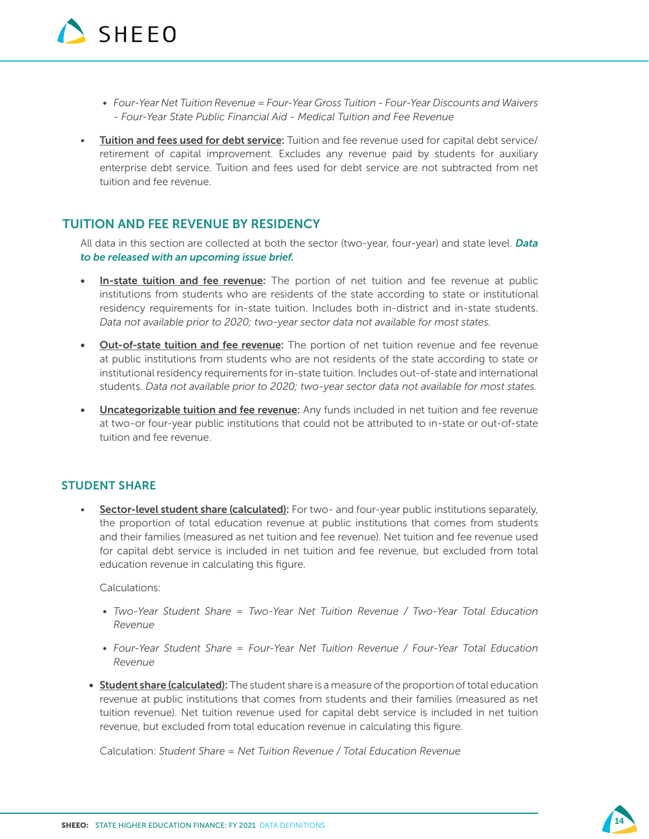

- *• Four-Year Net Tuition Revenue = Four-Year Gross Tuition Four-Year Discounts and Waivers - Four-Year State Public Financial Aid - Medical Tuition and Fee Revenue*
- Tuition and fees used for debt service: Tuition and fee revenue used for capital debt service/ retirement of capital improvement. Excludes any revenue paid by students for auxiliary enterprise debt service. Tuition and fees used for debt service are not subtracted from net tuition and fee revenue.

### TUITION AND FEE REVENUE BY RESIDENCY

All data in this section are collected at both the sector (two-year, four-year) and state level. *Data to be released with an upcoming issue brief.*

- In-state tuition and fee revenue: The portion of net tuition and fee revenue at public institutions from students who are residents of the state according to state or institutional residency requirements for in-state tuition. Includes both in-district and in-state students. *Data not available prior to 2020; two-year sector data not available for most states.*
- Out-of-state tuition and fee revenue: The portion of net tuition revenue and fee revenue at public institutions from students who are not residents of the state according to state or institutional residency requirements for in-state tuition. Includes out-of-state and international students. *Data not available prior to 2020; two-year sector data not available for most states.*
- Uncategorizable tuition and fee revenue: Any funds included in net tuition and fee revenue at two-or four-year public institutions that could not be attributed to in-state or out-of-state tuition and fee revenue.

#### STUDENT SHARE

Sector-level student share (calculated): For two- and four-year public institutions separately, the proportion of total education revenue at public institutions that comes from students and their families (measured as net tuition and fee revenue). Net tuition and fee revenue used for capital debt service is included in net tuition and fee revenue, but excluded from total education revenue in calculating this figure.

Calculations:

- *• Two-Year Student Share = Two-Year Net Tuition Revenue / Two-Year Total Education Revenue*
- *• Four-Year Student Share = Four-Year Net Tuition Revenue / Four-Year Total Education Revenue*
- Student share (calculated): The student share is a measure of the proportion of total education revenue at public institutions that comes from students and their families (measured as net tuition revenue). Net tuition revenue used for capital debt service is included in net tuition revenue, but excluded from total education revenue in calculating this figure.

Calculation: *Student Share = Net Tuition Revenue / Total Education Revenue*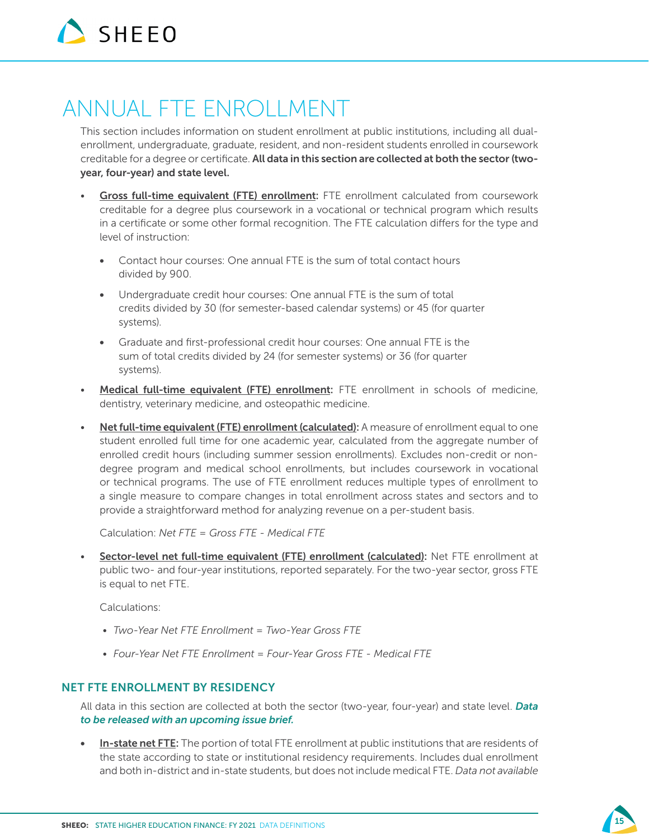

# ANNUAL FTE ENROLLMENT

This section includes information on student enrollment at public institutions, including all dualenrollment, undergraduate, graduate, resident, and non-resident students enrolled in coursework creditable for a degree or certificate. All data in this section are collected at both the sector (twoyear, four-year) and state level.

- Gross full-time equivalent (FTE) enrollment: FTE enrollment calculated from coursework creditable for a degree plus coursework in a vocational or technical program which results in a certificate or some other formal recognition. The FTE calculation differs for the type and level of instruction:
	- Contact hour courses: One annual FTE is the sum of total contact hours divided by 900.
	- Undergraduate credit hour courses: One annual FTE is the sum of total credits divided by 30 (for semester-based calendar systems) or 45 (for quarter systems).
	- Graduate and first-professional credit hour courses: One annual FTE is the sum of total credits divided by 24 (for semester systems) or 36 (for quarter systems).
- Medical full-time equivalent (FTE) enrollment: FTE enrollment in schools of medicine, dentistry, veterinary medicine, and osteopathic medicine.
- Net full-time equivalent (FTE) enrollment (calculated): A measure of enrollment equal to one student enrolled full time for one academic year, calculated from the aggregate number of enrolled credit hours (including summer session enrollments). Excludes non-credit or nondegree program and medical school enrollments, but includes coursework in vocational or technical programs. The use of FTE enrollment reduces multiple types of enrollment to a single measure to compare changes in total enrollment across states and sectors and to provide a straightforward method for analyzing revenue on a per-student basis.

Calculation: *Net FTE = Gross FTE - Medical FTE*

Sector-level net full-time equivalent (FTE) enrollment (calculated): Net FTE enrollment at public two- and four-year institutions, reported separately. For the two-year sector, gross FTE is equal to net FTE.

Calculations:

- *• Two-Year Net FTE Enrollment = Two-Year Gross FTE*
- *• Four-Year Net FTE Enrollment = Four-Year Gross FTE Medical FTE*

#### NET FTE ENROLLMENT BY RESIDENCY

All data in this section are collected at both the sector (two-year, four-year) and state level. *Data to be released with an upcoming issue brief.*

• In-state net FTE: The portion of total FTE enrollment at public institutions that are residents of the state according to state or institutional residency requirements. Includes dual enrollment and both in-district and in-state students, but does not include medical FTE. *Data not available*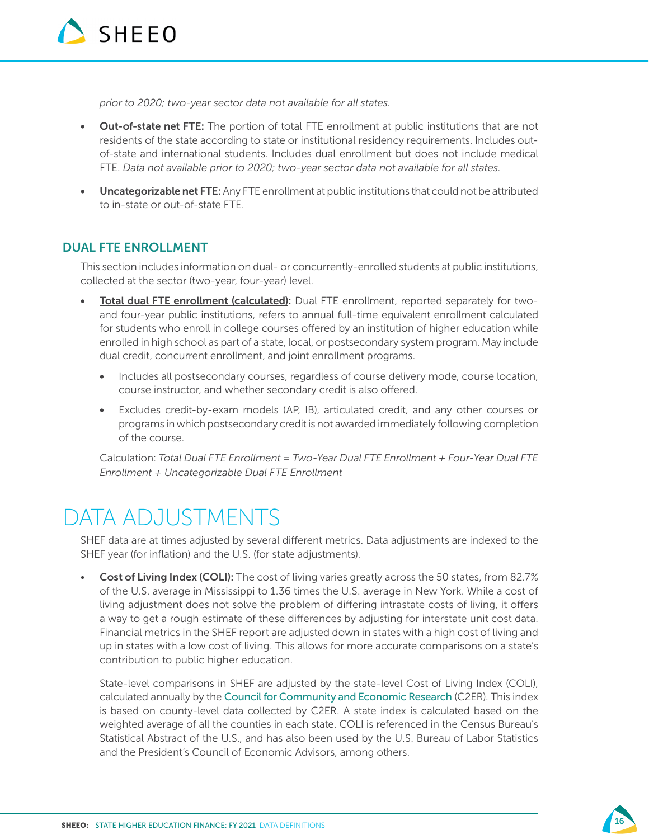

*prior to 2020; two-year sector data not available for all states.*

- Out-of-state net FTE: The portion of total FTE enrollment at public institutions that are not residents of the state according to state or institutional residency requirements. Includes outof-state and international students. Includes dual enrollment but does not include medical FTE. *Data not available prior to 2020; two-year sector data not available for all states.*
- Uncategorizable net FTE: Any FTE enrollment at public institutions that could not be attributed to in-state or out-of-state FTE.

### DUAL FTE ENROLLMENT

This section includes information on dual- or concurrently-enrolled students at public institutions, collected at the sector (two-year, four-year) level.

- Total dual FTE enrollment (calculated): Dual FTE enrollment, reported separately for twoand four-year public institutions, refers to annual full-time equivalent enrollment calculated for students who enroll in college courses offered by an institution of higher education while enrolled in high school as part of a state, local, or postsecondary system program. May include dual credit, concurrent enrollment, and joint enrollment programs.
	- Includes all postsecondary courses, regardless of course delivery mode, course location, course instructor, and whether secondary credit is also offered.
	- Excludes credit-by-exam models (AP, IB), articulated credit, and any other courses or programs in which postsecondary credit is not awarded immediately following completion of the course.

Calculation: *Total Dual FTE Enrollment = Two-Year Dual FTE Enrollment + Four-Year Dual FTE Enrollment + Uncategorizable Dual FTE Enrollment*

### DATA ADJUSTMENTS

SHEF data are at times adjusted by several different metrics. Data adjustments are indexed to the SHEF year (for inflation) and the U.S. (for state adjustments).

Cost of Living Index (COLI): The cost of living varies greatly across the 50 states, from 82.7% of the U.S. average in Mississippi to 1.36 times the U.S. average in New York. While a cost of living adjustment does not solve the problem of differing intrastate costs of living, it offers a way to get a rough estimate of these differences by adjusting for interstate unit cost data. Financial metrics in the SHEF report are adjusted down in states with a high cost of living and up in states with a low cost of living. This allows for more accurate comparisons on a state's contribution to public higher education.

State-level comparisons in SHEF are adjusted by the state-level Cost of Living Index (COLI), calculated annually by the [Council for Community and Economic Research](http://coli.org/) (C2ER). This index is based on county-level data collected by C2ER. A state index is calculated based on the weighted average of all the counties in each state. COLI is referenced in the Census Bureau's Statistical Abstract of the U.S., and has also been used by the U.S. Bureau of Labor Statistics and the President's Council of Economic Advisors, among others.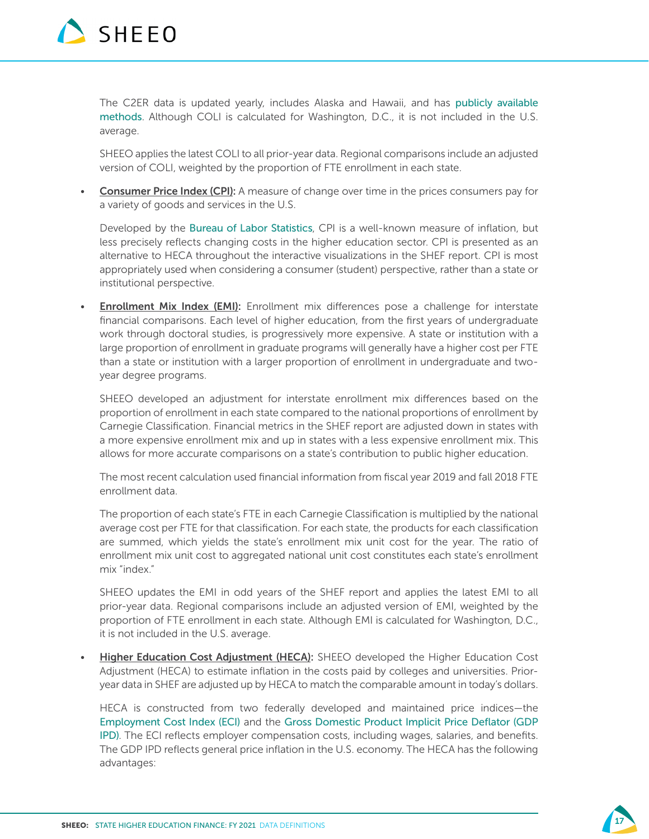

The C2ER data is updated yearly, includes Alaska and Hawaii, and has [publicly available](https://www.coli.org/wp-content/uploads/sites/3/2017/12/2018-COLI-Manual.pdf) [methods](https://www.coli.org/wp-content/uploads/sites/3/2017/12/2018-COLI-Manual.pdf). Although COLI is calculated for Washington, D.C., it is not included in the U.S. average.

SHEEO applies the latest COLI to all prior-year data. Regional comparisons include an adjusted version of COLI, weighted by the proportion of FTE enrollment in each state.

**Consumer Price Index (CPI):** A measure of change over time in the prices consumers pay for a variety of goods and services in the U.S.

Developed by the [Bureau of Labor Statistics](https://www.bls.gov/cpi/), CPI is a well-known measure of inflation, but less precisely reflects changing costs in the higher education sector. CPI is presented as an alternative to HECA throughout the interactive visualizations in the SHEF report. CPI is most appropriately used when considering a consumer (student) perspective, rather than a state or institutional perspective.

• Enrollment Mix Index (EMI): Enrollment mix differences pose a challenge for interstate financial comparisons. Each level of higher education, from the first years of undergraduate work through doctoral studies, is progressively more expensive. A state or institution with a large proportion of enrollment in graduate programs will generally have a higher cost per FTE than a state or institution with a larger proportion of enrollment in undergraduate and twoyear degree programs.

SHEEO developed an adjustment for interstate enrollment mix differences based on the proportion of enrollment in each state compared to the national proportions of enrollment by Carnegie Classification. Financial metrics in the SHEF report are adjusted down in states with a more expensive enrollment mix and up in states with a less expensive enrollment mix. This allows for more accurate comparisons on a state's contribution to public higher education.

The most recent calculation used financial information from fiscal year 2019 and fall 2018 FTE enrollment data.

The proportion of each state's FTE in each Carnegie Classification is multiplied by the national average cost per FTE for that classification. For each state, the products for each classification are summed, which yields the state's enrollment mix unit cost for the year. The ratio of enrollment mix unit cost to aggregated national unit cost constitutes each state's enrollment mix "index."

SHEEO updates the EMI in odd years of the SHEF report and applies the latest EMI to all prior-year data. Regional comparisons include an adjusted version of EMI, weighted by the proportion of FTE enrollment in each state. Although EMI is calculated for Washington, D.C., it is not included in the U.S. average.

**Higher Education Cost Adjustment (HECA):** SHEEO developed the Higher Education Cost Adjustment (HECA) to estimate inflation in the costs paid by colleges and universities. Prioryear data in SHEF are adjusted up by HECA to match the comparable amount in today's dollars.

HECA is constructed from two federally developed and maintained price indices—the [Employment Cost Index \(ECI\)](https://www.bls.gov/news.release/eci.toc.htm) and the [Gross Domestic Product Implicit Price Deflator \(GDP](https://www.bea.gov/data/prices-inflation/gdp-price-deflator)  [IPD\)](https://www.bea.gov/data/prices-inflation/gdp-price-deflator). The ECI reflects employer compensation costs, including wages, salaries, and benefits. The GDP IPD reflects general price inflation in the U.S. economy. The HECA has the following advantages: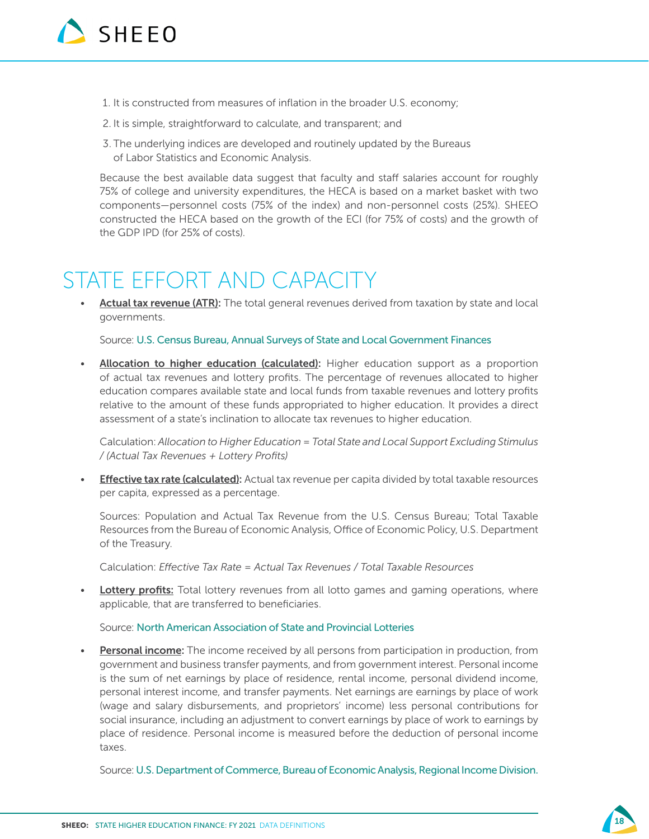

- 1. It is constructed from measures of inflation in the broader U.S. economy;
- 2. It is simple, straightforward to calculate, and transparent; and
- 3. The underlying indices are developed and routinely updated by the Bureaus of Labor Statistics and Economic Analysis.

Because the best available data suggest that faculty and staff salaries account for roughly 75% of college and university expenditures, the HECA is based on a market basket with two components—personnel costs (75% of the index) and non-personnel costs (25%). SHEEO constructed the HECA based on the growth of the ECI (for 75% of costs) and the growth of the GDP IPD (for 25% of costs).

### STATE EFFORT AND CAPACITY

• Actual tax revenue (ATR): The total general revenues derived from taxation by state and local governments.

Source: [U.S. Census Bureau, Annual Surveys of State and Local Government Finances](https://www.census.gov/programs-surveys/state.html)

• Allocation to higher education (calculated): Higher education support as a proportion of actual tax revenues and lottery profits. The percentage of revenues allocated to higher education compares available state and local funds from taxable revenues and lottery profits relative to the amount of these funds appropriated to higher education. It provides a direct assessment of a state's inclination to allocate tax revenues to higher education.

Calculation: *Allocation to Higher Education = Total State and Local Support Excluding Stimulus / (Actual Tax Revenues + Lottery Profits)*

• Effective tax rate (calculated): Actual tax revenue per capita divided by total taxable resources per capita, expressed as a percentage.

Sources: Population and Actual Tax Revenue from the U.S. Census Bureau; Total Taxable Resources from the Bureau of Economic Analysis, Office of Economic Policy, U.S. Department of the Treasury.

Calculation: *Effective Tax Rate = Actual Tax Revenues / Total Taxable Resources*

**Lottery profits:** Total lottery revenues from all lotto games and gaming operations, where applicable, that are transferred to beneficiaries.

Source: [North American Association of State and Provincial Lotteries](https://www.naspl.org/)

**Personal income:** The income received by all persons from participation in production, from government and business transfer payments, and from government interest. Personal income is the sum of net earnings by place of residence, rental income, personal dividend income, personal interest income, and transfer payments. Net earnings are earnings by place of work (wage and salary disbursements, and proprietors' income) less personal contributions for social insurance, including an adjustment to convert earnings by place of work to earnings by place of residence. Personal income is measured before the deduction of personal income taxes.

Source: [U.S. Department of Commerce, Bureau of Economic Analysis, Regional Income Division.](https://apps.bea.gov/iTable/index_regional.cfm)